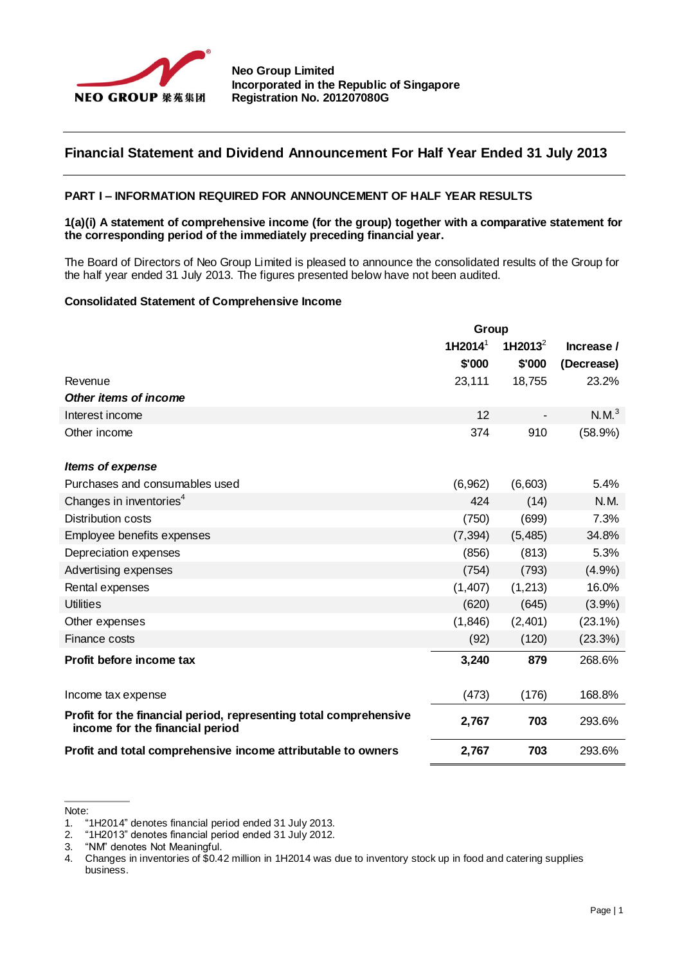

# **Financial Statement and Dividend Announcement For Half Year Ended 31 July 2013**

## **PART I – INFORMATION REQUIRED FOR ANNOUNCEMENT OF HALF YEAR RESULTS**

## **1(a)(i) A statement of comprehensive income (for the group) together with a comparative statement for the corresponding period of the immediately preceding financial year.**

The Board of Directors of Neo Group Limited is pleased to announce the consolidated results of the Group for the half year ended 31 July 2013. The figures presented below have not been audited.

## **Consolidated Statement of Comprehensive Income**

|                                                                                                      | Group               |               |                   |
|------------------------------------------------------------------------------------------------------|---------------------|---------------|-------------------|
|                                                                                                      | 1H2014 <sup>1</sup> | 1H2013 $^{2}$ | Increase /        |
|                                                                                                      | \$'000              | \$'000        | (Decrease)        |
| Revenue                                                                                              | 23,111              | 18,755        | 23.2%             |
| Other items of income                                                                                |                     |               |                   |
| Interest income                                                                                      | 12                  |               | N.M. <sup>3</sup> |
| Other income                                                                                         | 374                 | 910           | (58.9%)           |
| Items of expense                                                                                     |                     |               |                   |
| Purchases and consumables used                                                                       | (6,962)             | (6,603)       | 5.4%              |
| Changes in inventories <sup>4</sup>                                                                  | 424                 | (14)          | N.M.              |
| <b>Distribution costs</b>                                                                            | (750)               | (699)         | 7.3%              |
| Employee benefits expenses                                                                           | (7, 394)            | (5,485)       | 34.8%             |
| Depreciation expenses                                                                                | (856)               | (813)         | 5.3%              |
| Advertising expenses                                                                                 | (754)               | (793)         | (4.9%)            |
| Rental expenses                                                                                      | (1, 407)            | (1,213)       | 16.0%             |
| <b>Utilities</b>                                                                                     | (620)               | (645)         | $(3.9\%)$         |
| Other expenses                                                                                       | (1, 846)            | (2,401)       | $(23.1\%)$        |
| <b>Finance costs</b>                                                                                 | (92)                | (120)         | (23.3%)           |
| Profit before income tax                                                                             | 3,240               | 879           | 268.6%            |
| Income tax expense                                                                                   | (473)               | (176)         | 168.8%            |
| Profit for the financial period, representing total comprehensive<br>income for the financial period | 2,767               | 703           | 293.6%            |
| Profit and total comprehensive income attributable to owners                                         | 2,767               | 703           | 293.6%            |

Note:

<sup>1.</sup> "1H2014" denotes financial period ended 31 July 2013.

<sup>2.</sup> "1H2013" denotes financial period ended 31 July 2012.

<sup>3.</sup> "NM" denotes Not Meaningful.

<sup>4.</sup> Changes in inventories of \$0.42 million in 1H2014 was due to inventory stock up in food and catering supplies business.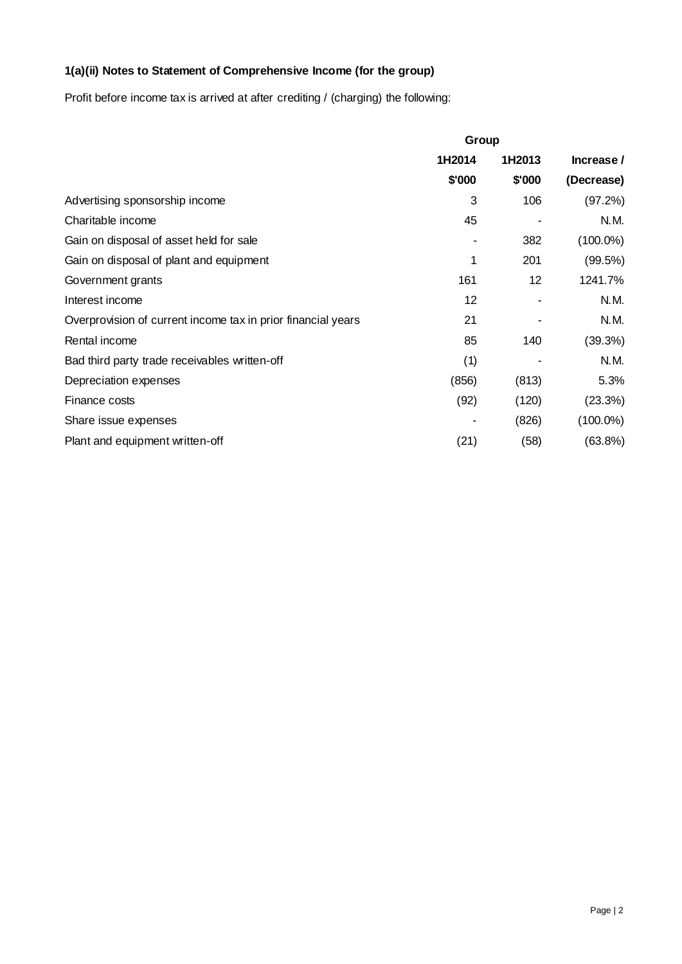# **1(a)(ii) Notes to Statement of Comprehensive Income (for the group)**

Profit before income tax is arrived at after crediting / (charging) the following:

|                                                              | Group  |        |             |
|--------------------------------------------------------------|--------|--------|-------------|
|                                                              | 1H2014 | 1H2013 | Increase /  |
|                                                              | \$'000 | \$'000 | (Decrease)  |
| Advertising sponsorship income                               | 3      | 106    | (97.2%)     |
| Charitable income                                            | 45     |        | N.M.        |
| Gain on disposal of asset held for sale                      |        | 382    | $(100.0\%)$ |
| Gain on disposal of plant and equipment                      | 1      | 201    | (99.5%)     |
| Government grants                                            | 161    | 12     | 1241.7%     |
| Interest income                                              | 12     |        | N.M.        |
| Overprovision of current income tax in prior financial years | 21     |        | N.M.        |
| Rental income                                                | 85     | 140    | (39.3%)     |
| Bad third party trade receivables written-off                | (1)    |        | N.M.        |
| Depreciation expenses                                        | (856)  | (813)  | 5.3%        |
| Finance costs                                                | (92)   | (120)  | (23.3%)     |
| Share issue expenses                                         |        | (826)  | $(100.0\%)$ |
| Plant and equipment written-off                              | (21)   | (58)   | (63.8%)     |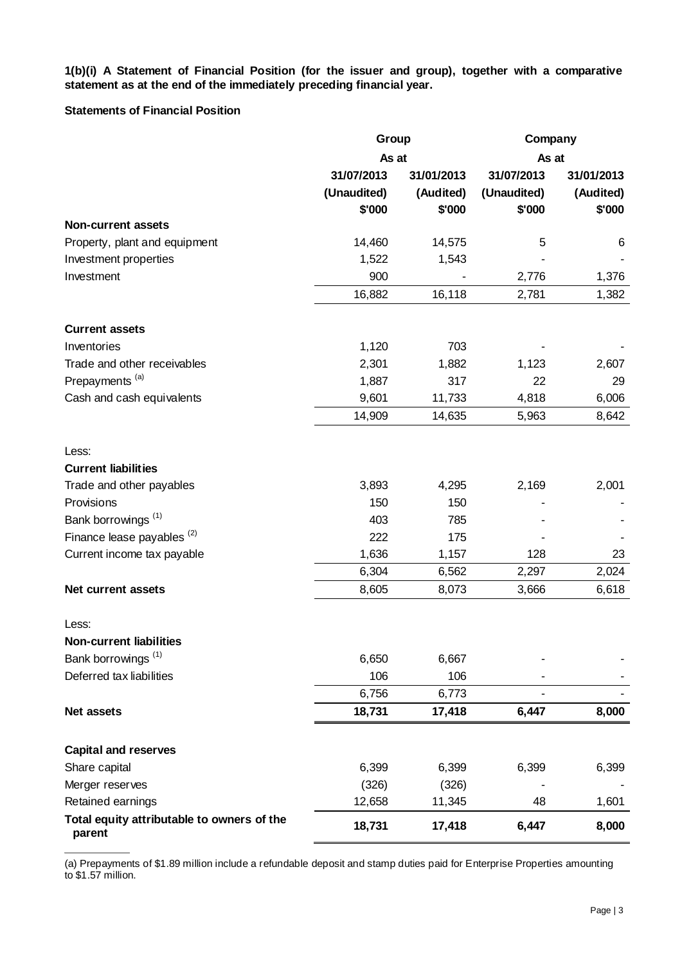**1(b)(i) A Statement of Financial Position (for the issuer and group), together with a comparative statement as at the end of the immediately preceding financial year.**

## **Statements of Financial Position**

|                                                      | Group       |            | Company        |            |
|------------------------------------------------------|-------------|------------|----------------|------------|
|                                                      |             | As at      |                | As at      |
|                                                      | 31/07/2013  | 31/01/2013 | 31/07/2013     | 31/01/2013 |
|                                                      | (Unaudited) | (Audited)  | (Unaudited)    | (Audited)  |
|                                                      | \$'000      | \$'000     | \$'000         | \$'000     |
| <b>Non-current assets</b>                            |             |            |                |            |
| Property, plant and equipment                        | 14,460      | 14,575     | 5              | 6          |
| Investment properties                                | 1,522       | 1,543      |                |            |
| Investment                                           | 900         |            | 2,776          | 1,376      |
|                                                      | 16,882      | 16,118     | 2,781          | 1,382      |
| <b>Current assets</b>                                |             |            |                |            |
| Inventories                                          | 1,120       | 703        |                |            |
| Trade and other receivables                          | 2,301       | 1,882      | 1,123          | 2,607      |
| Prepayments <sup>(a)</sup>                           | 1,887       | 317        | 22             | 29         |
| Cash and cash equivalents                            | 9,601       | 11,733     | 4,818          | 6,006      |
|                                                      | 14,909      | 14,635     | 5,963          | 8,642      |
| Less:                                                |             |            |                |            |
| <b>Current liabilities</b>                           |             |            |                |            |
| Trade and other payables                             | 3,893       | 4,295      | 2,169          | 2,001      |
| Provisions                                           | 150         | 150        |                |            |
| Bank borrowings <sup>(1)</sup>                       | 403         | 785        |                |            |
| Finance lease payables <sup>(2)</sup>                | 222         | 175        |                |            |
| Current income tax payable                           | 1,636       | 1,157      | 128            | 23         |
|                                                      | 6,304       | 6,562      | 2,297          | 2,024      |
| Net current assets                                   | 8,605       | 8,073      | 3,666          | 6,618      |
| Less:                                                |             |            |                |            |
| <b>Non-current liabilities</b>                       |             |            |                |            |
| Bank borrowings <sup>(1)</sup>                       | 6,650       | 6,667      |                |            |
| Deferred tax liabilities                             | 106         | 106        |                |            |
|                                                      | 6,756       | 6,773      | $\blacksquare$ |            |
| Net assets                                           | 18,731      | 17,418     | 6,447          | 8,000      |
| <b>Capital and reserves</b>                          |             |            |                |            |
| Share capital                                        | 6,399       | 6,399      | 6,399          | 6,399      |
| Merger reserves                                      | (326)       | (326)      |                |            |
| Retained earnings                                    | 12,658      | 11,345     | 48             | 1,601      |
| Total equity attributable to owners of the<br>parent | 18,731      | 17,418     | 6,447          | 8,000      |

(a) Prepayments of \$1.89 million include a refundable deposit and stamp duties paid for Enterprise Properties amounting to \$1.57 million.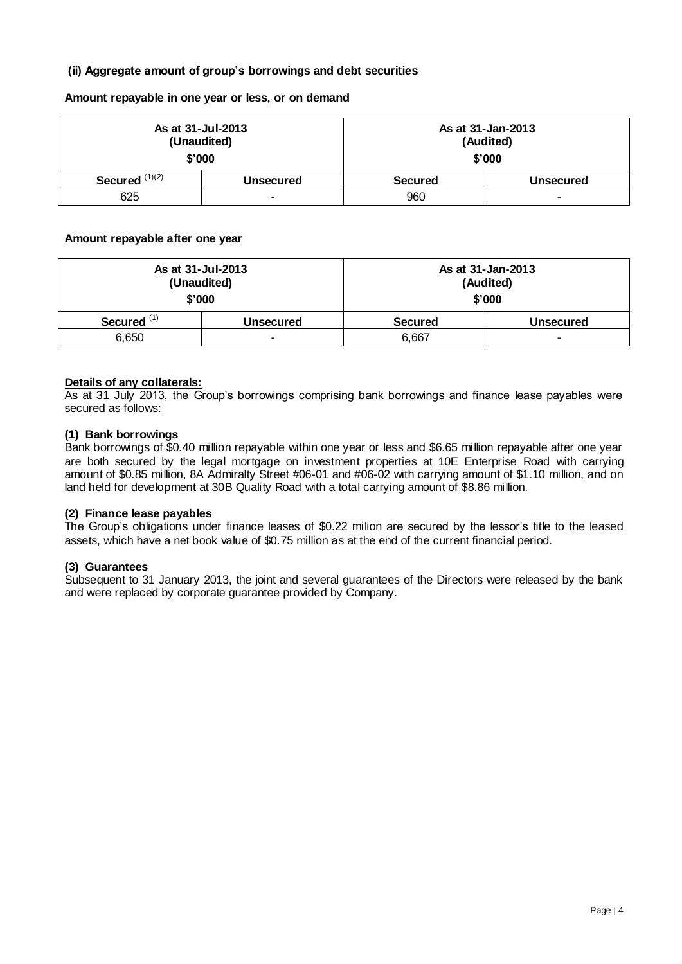# **(ii) Aggregate amount of group's borrowings and debt securities**

**Amount repayable in one year or less, or on demand**

| As at 31-Jul-2013<br>(Unaudited)<br>\$'000 |           | As at 31-Jan-2013<br>(Audited)<br>\$'000 |  |  |
|--------------------------------------------|-----------|------------------------------------------|--|--|
| Secured $(1)(2)$                           | Unsecured | <b>Secured</b><br><b>Unsecured</b>       |  |  |
| 625                                        | ۰         | 960<br>$\overline{\phantom{0}}$          |  |  |

## **Amount repayable after one year**

| As at 31-Jul-2013<br>(Unaudited)<br>\$'000 |           | As at 31-Jan-2013<br>(Audited)<br>\$'000 |  |  |
|--------------------------------------------|-----------|------------------------------------------|--|--|
| Secured <sup>(1)</sup>                     | Unsecured | <b>Secured</b><br>Unsecured              |  |  |
| 6,650                                      | -         | 6,667<br>-                               |  |  |

# **Details of any collaterals:**

As at 31 July 2013, the Group's borrowings comprising bank borrowings and finance lease payables were secured as follows:

## **(1) Bank borrowings**

Bank borrowings of \$0.40 million repayable within one year or less and \$6.65 million repayable after one year are both secured by the legal mortgage on investment properties at 10E Enterprise Road with carrying amount of \$0.85 million, 8A Admiralty Street #06-01 and #06-02 with carrying amount of \$1.10 million, and on land held for development at 30B Quality Road with a total carrying amount of \$8.86 million.

# **(2) Finance lease payables**

The Group's obligations under finance leases of \$0.22 milion are secured by the lessor's title to the leased assets, which have a net book value of \$0.75 million as at the end of the current financial period.

# **(3) Guarantees**

Subsequent to 31 January 2013, the joint and several guarantees of the Directors were released by the bank and were replaced by corporate guarantee provided by Company.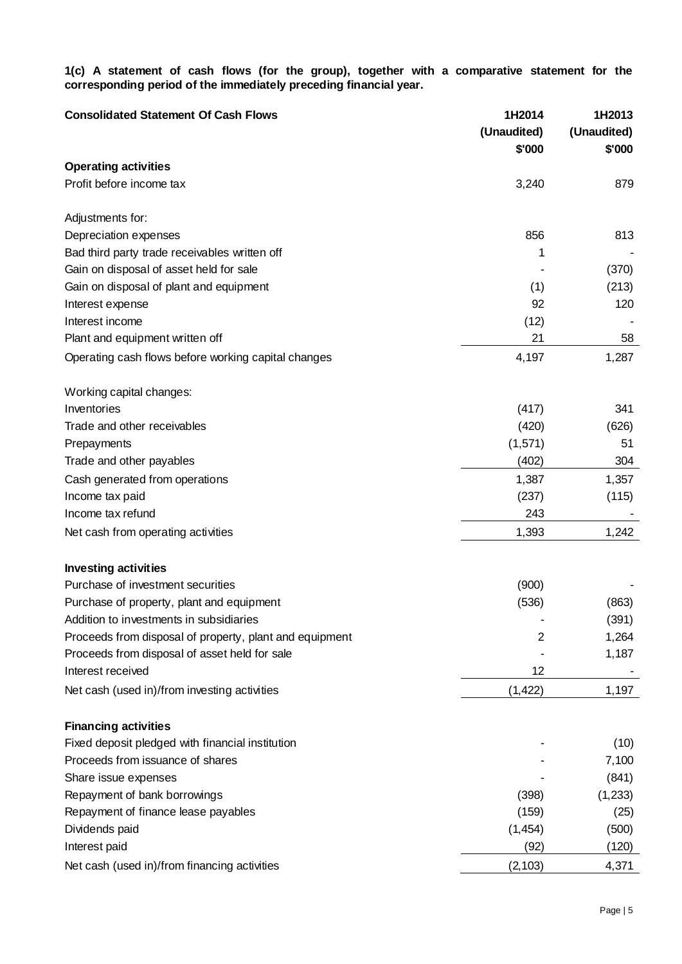**1(c) A statement of cash flows (for the group), together with a comparative statement for the corresponding period of the immediately preceding financial year.**

| <b>Consolidated Statement Of Cash Flows</b>             | 1H2014<br>(Unaudited)<br>\$'000 | 1H2013<br>(Unaudited)<br>\$'000 |
|---------------------------------------------------------|---------------------------------|---------------------------------|
| <b>Operating activities</b>                             |                                 |                                 |
| Profit before income tax                                | 3,240                           | 879                             |
| Adjustments for:                                        |                                 |                                 |
| Depreciation expenses                                   | 856                             | 813                             |
| Bad third party trade receivables written off           | 1                               |                                 |
| Gain on disposal of asset held for sale                 |                                 | (370)                           |
| Gain on disposal of plant and equipment                 | (1)                             | (213)                           |
| Interest expense                                        | 92                              | 120                             |
| Interest income                                         | (12)                            |                                 |
| Plant and equipment written off                         | 21                              | 58                              |
| Operating cash flows before working capital changes     | 4,197                           | 1,287                           |
| Working capital changes:                                |                                 |                                 |
| Inventories                                             | (417)                           | 341                             |
| Trade and other receivables                             | (420)                           | (626)                           |
| Prepayments                                             | (1,571)                         | 51                              |
| Trade and other payables                                | (402)                           | 304                             |
| Cash generated from operations                          | 1,387                           | 1,357                           |
| Income tax paid                                         | (237)                           | (115)                           |
| Income tax refund                                       | 243                             |                                 |
| Net cash from operating activities                      | 1,393                           | 1,242                           |
| <b>Investing activities</b>                             |                                 |                                 |
| Purchase of investment securities                       | (900)                           |                                 |
| Purchase of property, plant and equipment               | (536)                           | (863)                           |
| Addition to investments in subsidiaries                 |                                 | (391)                           |
| Proceeds from disposal of property, plant and equipment | 2                               | 1,264                           |
| Proceeds from disposal of asset held for sale           |                                 | 1,187                           |
| Interest received                                       | 12                              |                                 |
| Net cash (used in)/from investing activities            | (1, 422)                        | 1,197                           |
| <b>Financing activities</b>                             |                                 |                                 |
| Fixed deposit pledged with financial institution        |                                 | (10)                            |
| Proceeds from issuance of shares                        |                                 | 7,100                           |
| Share issue expenses                                    |                                 | (841)                           |
| Repayment of bank borrowings                            | (398)                           | (1,233)                         |
| Repayment of finance lease payables                     | (159)                           | (25)                            |
| Dividends paid                                          | (1, 454)                        | (500)                           |
| Interest paid                                           | (92)                            | (120)                           |
| Net cash (used in)/from financing activities            | (2, 103)                        | 4,371                           |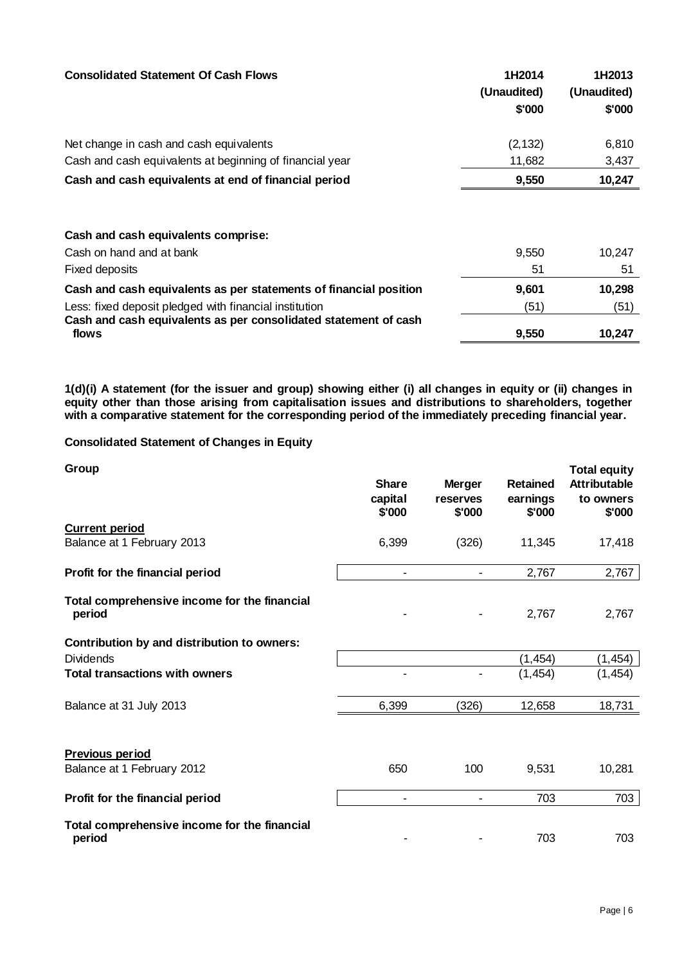| <b>Consolidated Statement Of Cash Flows</b>                              | 1H2014<br>(Unaudited)<br>\$'000 | 1H2013<br>(Unaudited)<br>\$'000 |
|--------------------------------------------------------------------------|---------------------------------|---------------------------------|
| Net change in cash and cash equivalents                                  | (2, 132)                        | 6,810                           |
| Cash and cash equivalents at beginning of financial year                 | 11,682                          | 3,437                           |
| Cash and cash equivalents at end of financial period                     | 9,550                           | 10,247                          |
| Cash and cash equivalents comprise:                                      |                                 |                                 |
| Cash on hand and at bank                                                 | 9,550                           | 10,247                          |
| Fixed deposits                                                           | 51                              | 51                              |
| Cash and cash equivalents as per statements of financial position        | 9,601                           | 10,298                          |
| Less: fixed deposit pledged with financial institution                   | (51)                            | (51)                            |
| Cash and cash equivalents as per consolidated statement of cash<br>flows | 9,550                           | 10,247                          |

**1(d)(i) A statement (for the issuer and group) showing either (i) all changes in equity or (ii) changes in equity other than those arising from capitalisation issues and distributions to shareholders, together with a comparative statement for the corresponding period of the immediately preceding financial year.**

# **Consolidated Statement of Changes in Equity**

| Group                                                  | <b>Share</b><br>capital<br>\$'000 | <b>Merger</b><br>reserves<br>\$'000 | <b>Retained</b><br>earnings<br>\$'000 | <b>Total equity</b><br><b>Attributable</b><br>to owners<br>\$'000 |
|--------------------------------------------------------|-----------------------------------|-------------------------------------|---------------------------------------|-------------------------------------------------------------------|
| <b>Current period</b><br>Balance at 1 February 2013    | 6,399                             | (326)                               | 11,345                                | 17,418                                                            |
| Profit for the financial period                        |                                   |                                     | 2,767                                 | 2,767                                                             |
| Total comprehensive income for the financial<br>period |                                   |                                     | 2,767                                 | 2,767                                                             |
| Contribution by and distribution to owners:            |                                   |                                     |                                       |                                                                   |
| <b>Dividends</b>                                       |                                   |                                     | (1, 454)                              | (1, 454)                                                          |
| <b>Total transactions with owners</b>                  |                                   |                                     | (1, 454)                              | (1, 454)                                                          |
| Balance at 31 July 2013                                | 6,399                             | (326)                               | 12,658                                | 18,731                                                            |
| Previous period<br>Balance at 1 February 2012          | 650                               | 100                                 | 9,531                                 | 10,281                                                            |
| Profit for the financial period                        | $\blacksquare$                    |                                     | 703                                   | 703                                                               |
| Total comprehensive income for the financial<br>period |                                   |                                     | 703                                   | 703                                                               |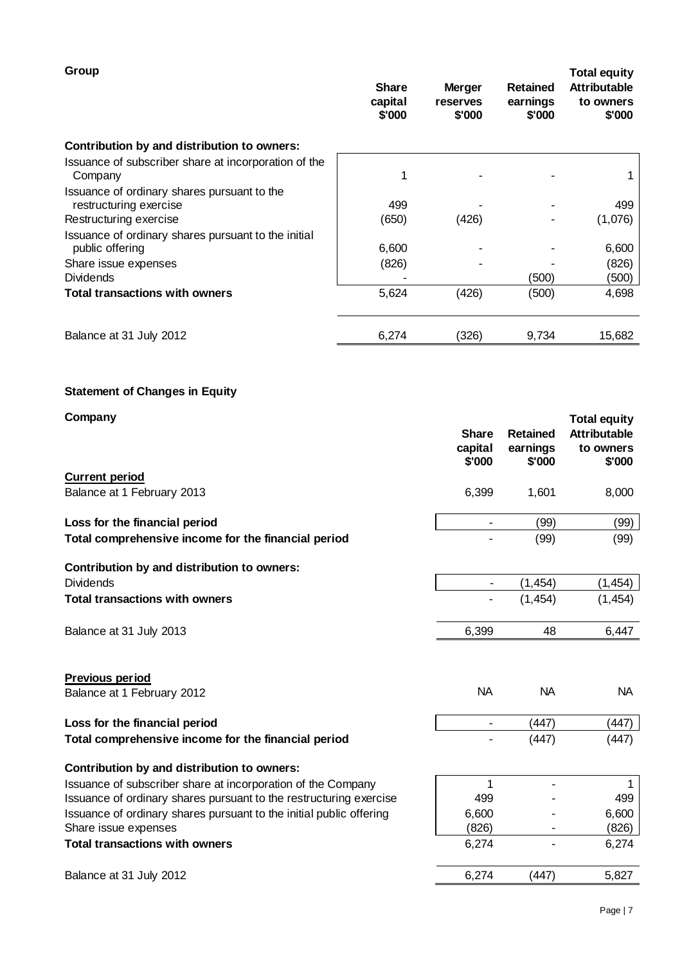| Group                                                                  | <b>Share</b><br>capital<br>\$'000 | <b>Merger</b><br>reserves<br>\$'000 | <b>Retained</b><br>earnings<br>\$'000 | <b>Total equity</b><br><b>Attributable</b><br>to owners<br>\$'000 |
|------------------------------------------------------------------------|-----------------------------------|-------------------------------------|---------------------------------------|-------------------------------------------------------------------|
| Contribution by and distribution to owners:                            |                                   |                                     |                                       |                                                                   |
| Issuance of subscriber share at incorporation of the<br>Company        |                                   |                                     |                                       |                                                                   |
| Issuance of ordinary shares pursuant to the<br>restructuring exercise  | 499                               |                                     |                                       | 499                                                               |
| Restructuring exercise                                                 | (650)                             | (426)                               |                                       | (1,076)                                                           |
| Issuance of ordinary shares pursuant to the initial<br>public offering | 6,600                             |                                     |                                       | 6,600                                                             |
| Share issue expenses                                                   | (826)                             |                                     |                                       | (826)                                                             |
| <b>Dividends</b>                                                       |                                   |                                     | (500)                                 | (500)                                                             |
| <b>Total transactions with owners</b>                                  | 5,624                             | (426)                               | (500)                                 | 4,698                                                             |
| Balance at 31 July 2012                                                | 6,274                             | (326)                               | 9,734                                 | 15,682                                                            |
|                                                                        |                                   |                                     |                                       |                                                                   |

# **Statement of Changes in Equity**

| Company                                                             | <b>Share</b><br>capital<br>\$'000 | <b>Retained</b><br>earnings<br>\$'000 | <b>Total equity</b><br><b>Attributable</b><br>to owners<br>\$'000 |
|---------------------------------------------------------------------|-----------------------------------|---------------------------------------|-------------------------------------------------------------------|
| <b>Current period</b>                                               |                                   |                                       |                                                                   |
| Balance at 1 February 2013                                          | 6,399                             | 1,601                                 | 8,000                                                             |
| Loss for the financial period                                       |                                   | (99)                                  | (99)                                                              |
| Total comprehensive income for the financial period                 |                                   | (99)                                  | (99)                                                              |
| Contribution by and distribution to owners:                         |                                   |                                       |                                                                   |
| <b>Dividends</b>                                                    | $\blacksquare$                    | (1, 454)                              | (1, 454)                                                          |
| <b>Total transactions with owners</b>                               |                                   | (1, 454)                              | (1, 454)                                                          |
| Balance at 31 July 2013                                             | 6,399                             | 48                                    | 6,447                                                             |
| Previous period                                                     |                                   |                                       |                                                                   |
| Balance at 1 February 2012                                          | <b>NA</b>                         | <b>NA</b>                             | <b>NA</b>                                                         |
| Loss for the financial period                                       | -                                 | (447)                                 | (447)                                                             |
| Total comprehensive income for the financial period                 |                                   | (447)                                 | (447)                                                             |
| Contribution by and distribution to owners:                         |                                   |                                       |                                                                   |
| Issuance of subscriber share at incorporation of the Company        | 1                                 |                                       |                                                                   |
| Issuance of ordinary shares pursuant to the restructuring exercise  | 499                               |                                       | 499                                                               |
| Issuance of ordinary shares pursuant to the initial public offering | 6,600                             |                                       | 6,600                                                             |
| Share issue expenses                                                | (826)                             | ٠                                     | (826)                                                             |
| <b>Total transactions with owners</b>                               | 6,274                             |                                       | 6,274                                                             |
| Balance at 31 July 2012                                             | 6,274                             | (447)                                 | 5,827                                                             |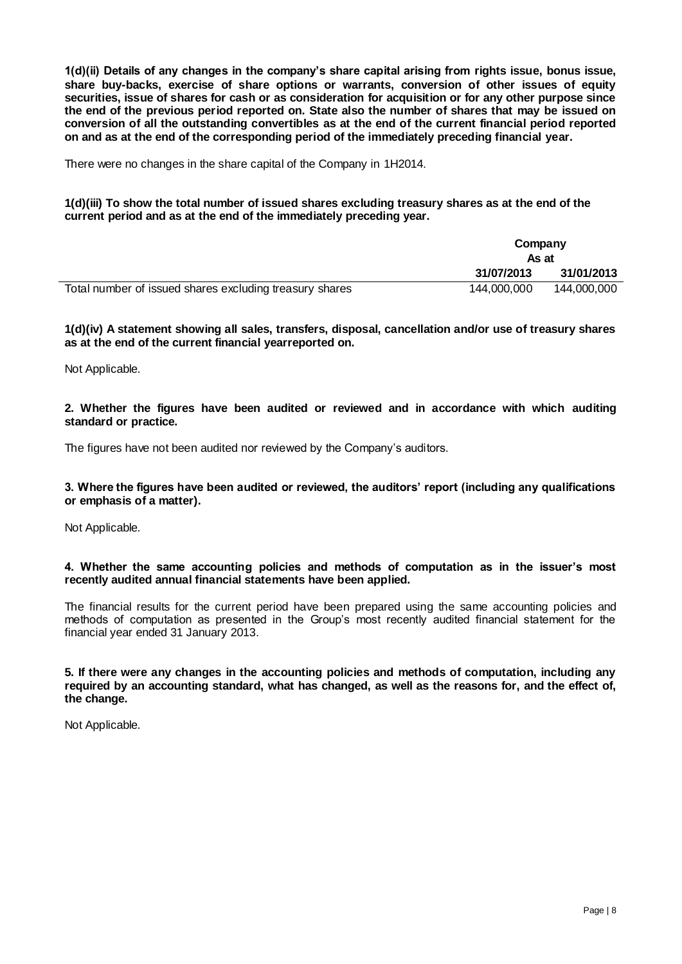**1(d)(ii) Details of any changes in the company's share capital arising from rights issue, bonus issue, share buy-backs, exercise of share options or warrants, conversion of other issues of equity securities, issue of shares for cash or as consideration for acquisition or for any other purpose since the end of the previous period reported on. State also the number of shares that may be issued on conversion of all the outstanding convertibles as at the end of the current financial period reported on and as at the end of the corresponding period of the immediately preceding financial year.**

There were no changes in the share capital of the Company in 1H2014.

**1(d)(iii) To show the total number of issued shares excluding treasury shares as at the end of the current period and as at the end of the immediately preceding year.**

|                                                         | Company<br>As at |             |
|---------------------------------------------------------|------------------|-------------|
|                                                         | 31/07/2013       | 31/01/2013  |
| Total number of issued shares excluding treasury shares | 144.000.000      | 144.000.000 |

**1(d)(iv) A statement showing all sales, transfers, disposal, cancellation and/or use of treasury shares as at the end of the current financial yearreported on.**

Not Applicable.

**2. Whether the figures have been audited or reviewed and in accordance with which auditing standard or practice.**

The figures have not been audited nor reviewed by the Company's auditors.

## **3. Where the figures have been audited or reviewed, the auditors' report (including any qualifications or emphasis of a matter).**

Not Applicable.

## **4. Whether the same accounting policies and methods of computation as in the issuer's most recently audited annual financial statements have been applied.**

The financial results for the current period have been prepared using the same accounting policies and methods of computation as presented in the Group's most recently audited financial statement for the financial year ended 31 January 2013.

**5. If there were any changes in the accounting policies and methods of computation, including any required by an accounting standard, what has changed, as well as the reasons for, and the effect of, the change.**

Not Applicable.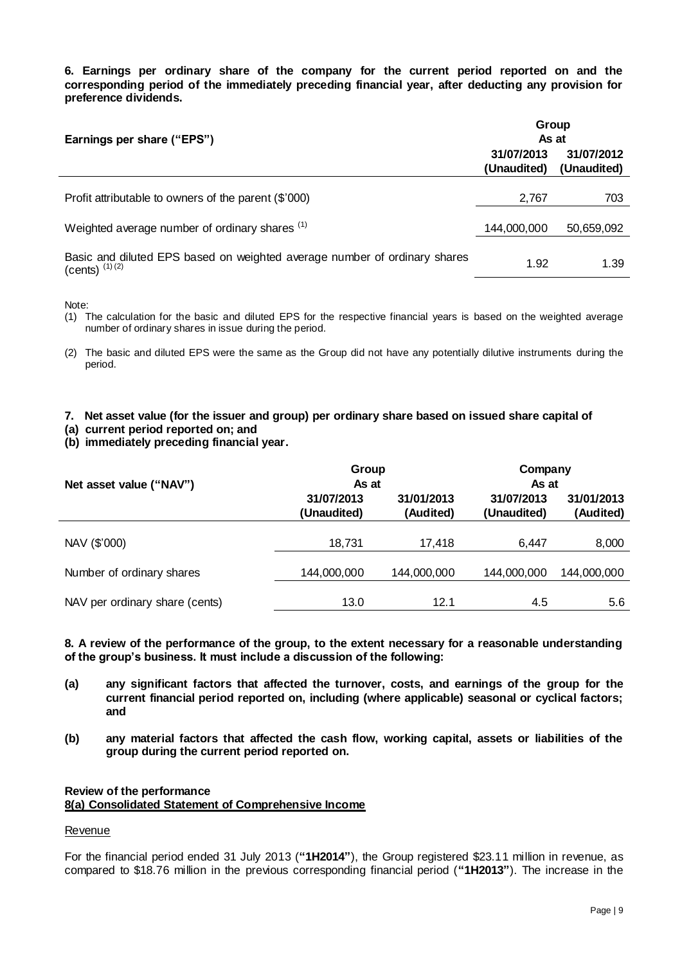**6. Earnings per ordinary share of the company for the current period reported on and the corresponding period of the immediately preceding financial year, after deducting any provision for preference dividends.**

| Earnings per share ("EPS")                                                                    | Group<br>As at            |                           |
|-----------------------------------------------------------------------------------------------|---------------------------|---------------------------|
|                                                                                               | 31/07/2013<br>(Unaudited) | 31/07/2012<br>(Unaudited) |
| Profit attributable to owners of the parent (\$'000)                                          | 2,767                     | 703                       |
| Weighted average number of ordinary shares (1)                                                | 144,000,000               | 50,659,092                |
| Basic and diluted EPS based on weighted average number of ordinary shares<br>(cents) $(1)(2)$ | 1.92                      | 1.39                      |

Note:

- (1) The calculation for the basic and diluted EPS for the respective financial years is based on the weighted average number of ordinary shares in issue during the period.
- (2) The basic and diluted EPS were the same as the Group did not have any potentially dilutive instruments during the period.

## **7. Net asset value (for the issuer and group) per ordinary share based on issued share capital of**

**(a) current period reported on; and** 

**(b) immediately preceding financial year.**

|                                | Group                     |                         | Company                   |                         |
|--------------------------------|---------------------------|-------------------------|---------------------------|-------------------------|
| Net asset value ("NAV")        | As at                     |                         | As at                     |                         |
|                                | 31/07/2013<br>(Unaudited) | 31/01/2013<br>(Audited) | 31/07/2013<br>(Unaudited) | 31/01/2013<br>(Audited) |
|                                |                           |                         |                           |                         |
| NAV (\$'000)                   | 18,731                    | 17.418                  | 6,447                     | 8,000                   |
|                                |                           |                         |                           |                         |
| Number of ordinary shares      | 144,000,000               | 144,000,000             | 144,000,000               | 144,000,000             |
|                                |                           |                         |                           |                         |
| NAV per ordinary share (cents) | 13.0                      | 12.1                    | 4.5                       | 5.6                     |

**8. A review of the performance of the group, to the extent necessary for a reasonable understanding of the group's business. It must include a discussion of the following:**

- **(a) any significant factors that affected the turnover, costs, and earnings of the group for the current financial period reported on, including (where applicable) seasonal or cyclical factors; and**
- **(b) any material factors that affected the cash flow, working capital, assets or liabilities of the group during the current period reported on.**

## **Review of the performance 8(a) Consolidated Statement of Comprehensive Income**

## Revenue

For the financial period ended 31 July 2013 (**"1H2014"**), the Group registered \$23.11 million in revenue, as compared to \$18.76 million in the previous corresponding financial period (**"1H2013"**). The increase in the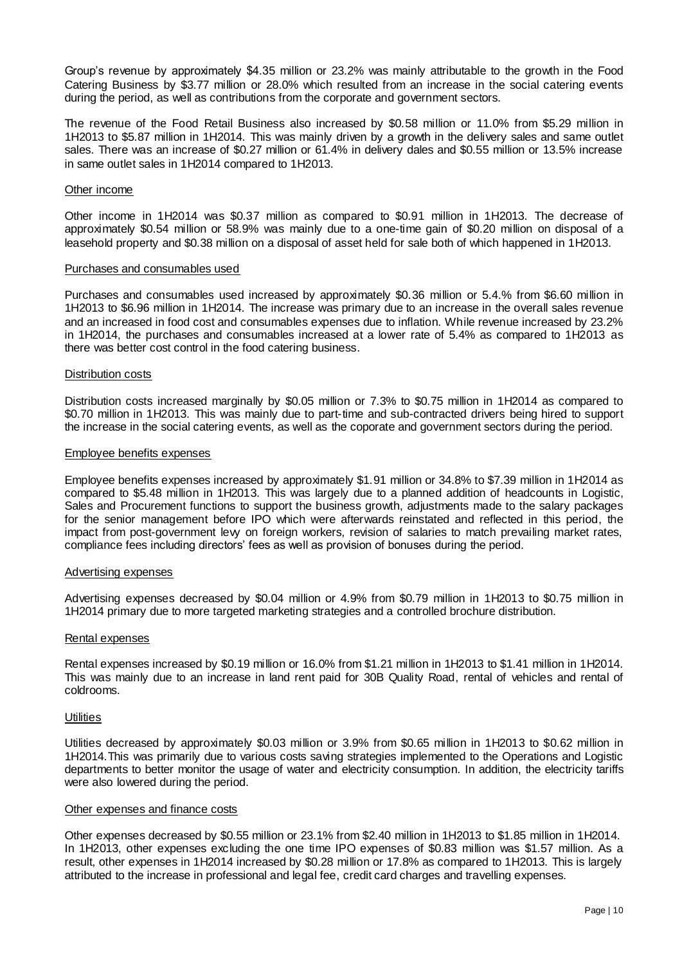Group's revenue by approximately \$4.35 million or 23.2% was mainly attributable to the growth in the Food Catering Business by \$3.77 million or 28.0% which resulted from an increase in the social catering events during the period, as well as contributions from the corporate and government sectors.

The revenue of the Food Retail Business also increased by \$0.58 million or 11.0% from \$5.29 million in 1H2013 to \$5.87 million in 1H2014. This was mainly driven by a growth in the delivery sales and same outlet sales. There was an increase of \$0.27 million or 61.4% in delivery dales and \$0.55 million or 13.5% increase in same outlet sales in 1H2014 compared to 1H2013.

### Other income

Other income in 1H2014 was \$0.37 million as compared to \$0.91 million in 1H2013. The decrease of approximately \$0.54 million or 58.9% was mainly due to a one-time gain of \$0.20 million on disposal of a leasehold property and \$0.38 million on a disposal of asset held for sale both of which happened in 1H2013.

#### Purchases and consumables used

Purchases and consumables used increased by approximately \$0.36 million or 5.4.% from \$6.60 million in 1H2013 to \$6.96 million in 1H2014. The increase was primary due to an increase in the overall sales revenue and an increased in food cost and consumables expenses due to inflation. While revenue increased by 23.2% in 1H2014, the purchases and consumables increased at a lower rate of 5.4% as compared to 1H2013 as there was better cost control in the food catering business.

#### Distribution costs

Distribution costs increased marginally by \$0.05 million or 7.3% to \$0.75 million in 1H2014 as compared to \$0.70 million in 1H2013. This was mainly due to part-time and sub-contracted drivers being hired to support the increase in the social catering events, as well as the coporate and government sectors during the period.

#### Employee benefits expenses

Employee benefits expenses increased by approximately \$1.91 million or 34.8% to \$7.39 million in 1H2014 as compared to \$5.48 million in 1H2013. This was largely due to a planned addition of headcounts in Logistic, Sales and Procurement functions to support the business growth, adjustments made to the salary packages for the senior management before IPO which were afterwards reinstated and reflected in this period, the impact from post-government levy on foreign workers, revision of salaries to match prevailing market rates, compliance fees including directors' fees as well as provision of bonuses during the period.

#### Advertising expenses

Advertising expenses decreased by \$0.04 million or 4.9% from \$0.79 million in 1H2013 to \$0.75 million in 1H2014 primary due to more targeted marketing strategies and a controlled brochure distribution.

#### Rental expenses

Rental expenses increased by \$0.19 million or 16.0% from \$1.21 million in 1H2013 to \$1.41 million in 1H2014. This was mainly due to an increase in land rent paid for 30B Quality Road, rental of vehicles and rental of coldrooms.

#### **Utilities**

Utilities decreased by approximately \$0.03 million or 3.9% from \$0.65 million in 1H2013 to \$0.62 million in 1H2014.This was primarily due to various costs saving strategies implemented to the Operations and Logistic departments to better monitor the usage of water and electricity consumption. In addition, the electricity tariffs were also lowered during the period.

#### Other expenses and finance costs

Other expenses decreased by \$0.55 million or 23.1% from \$2.40 million in 1H2013 to \$1.85 million in 1H2014. In 1H2013, other expenses excluding the one time IPO expenses of \$0.83 million was \$1.57 million. As a result, other expenses in 1H2014 increased by \$0.28 million or 17.8% as compared to 1H2013. This is largely attributed to the increase in professional and legal fee, credit card charges and travelling expenses.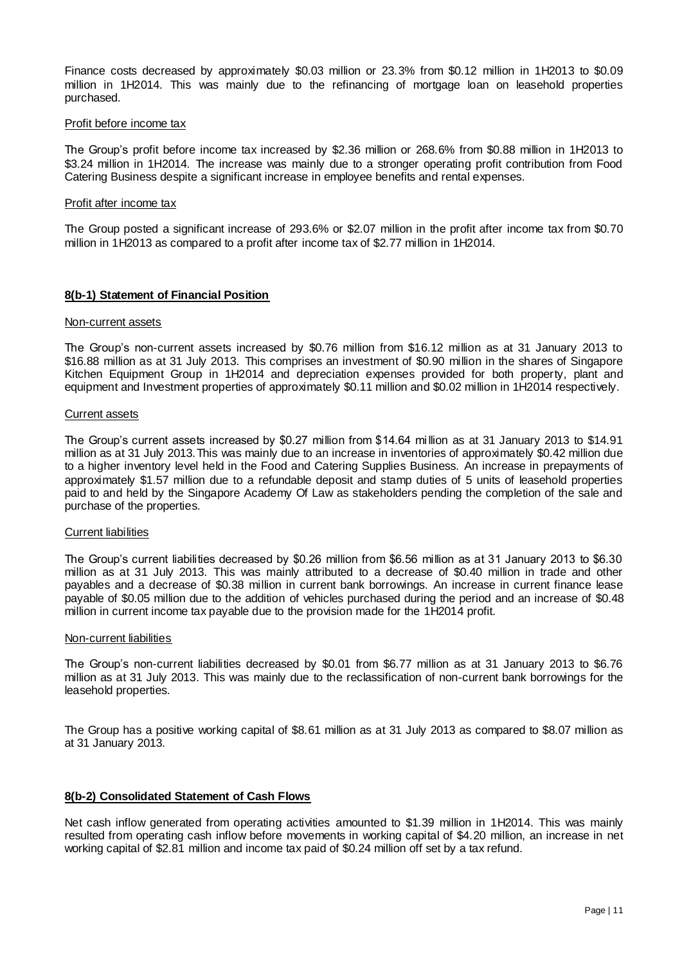Finance costs decreased by approximately \$0.03 million or 23.3% from \$0.12 million in 1H2013 to \$0.09 million in 1H2014. This was mainly due to the refinancing of mortgage loan on leasehold properties purchased.

## Profit before income tax

The Group's profit before income tax increased by \$2.36 million or 268.6% from \$0.88 million in 1H2013 to \$3.24 million in 1H2014. The increase was mainly due to a stronger operating profit contribution from Food Catering Business despite a significant increase in employee benefits and rental expenses.

#### Profit after income tax

The Group posted a significant increase of 293.6% or \$2.07 million in the profit after income tax from \$0.70 million in 1H2013 as compared to a profit after income tax of \$2.77 million in 1H2014.

## **8(b-1) Statement of Financial Position**

#### Non-current assets

The Group's non-current assets increased by \$0.76 million from \$16.12 million as at 31 January 2013 to \$16.88 million as at 31 July 2013. This comprises an investment of \$0.90 million in the shares of Singapore Kitchen Equipment Group in 1H2014 and depreciation expenses provided for both property, plant and equipment and Investment properties of approximately \$0.11 million and \$0.02 million in 1H2014 respectively.

#### Current assets

The Group's current assets increased by \$0.27 million from \$14.64 mi llion as at 31 January 2013 to \$14.91 million as at 31 July 2013.This was mainly due to an increase in inventories of approximately \$0.42 million due to a higher inventory level held in the Food and Catering Supplies Business. An increase in prepayments of approximately \$1.57 million due to a refundable deposit and stamp duties of 5 units of leasehold properties paid to and held by the Singapore Academy Of Law as stakeholders pending the completion of the sale and purchase of the properties.

#### Current liabilities

The Group's current liabilities decreased by \$0.26 million from \$6.56 million as at 31 January 2013 to \$6.30 million as at 31 July 2013. This was mainly attributed to a decrease of \$0.40 million in trade and other payables and a decrease of \$0.38 million in current bank borrowings. An increase in current finance lease payable of \$0.05 million due to the addition of vehicles purchased during the period and an increase of \$0.48 million in current income tax payable due to the provision made for the 1H2014 profit.

#### Non-current liabilities

The Group's non-current liabilities decreased by \$0.01 from \$6.77 million as at 31 January 2013 to \$6.76 million as at 31 July 2013. This was mainly due to the reclassification of non-current bank borrowings for the leasehold properties.

The Group has a positive working capital of \$8.61 million as at 31 July 2013 as compared to \$8.07 million as at 31 January 2013.

## **8(b-2) Consolidated Statement of Cash Flows**

Net cash inflow generated from operating activities amounted to \$1.39 million in 1H2014. This was mainly resulted from operating cash inflow before movements in working capital of \$4.20 million, an increase in net working capital of \$2.81 million and income tax paid of \$0.24 million off set by a tax refund.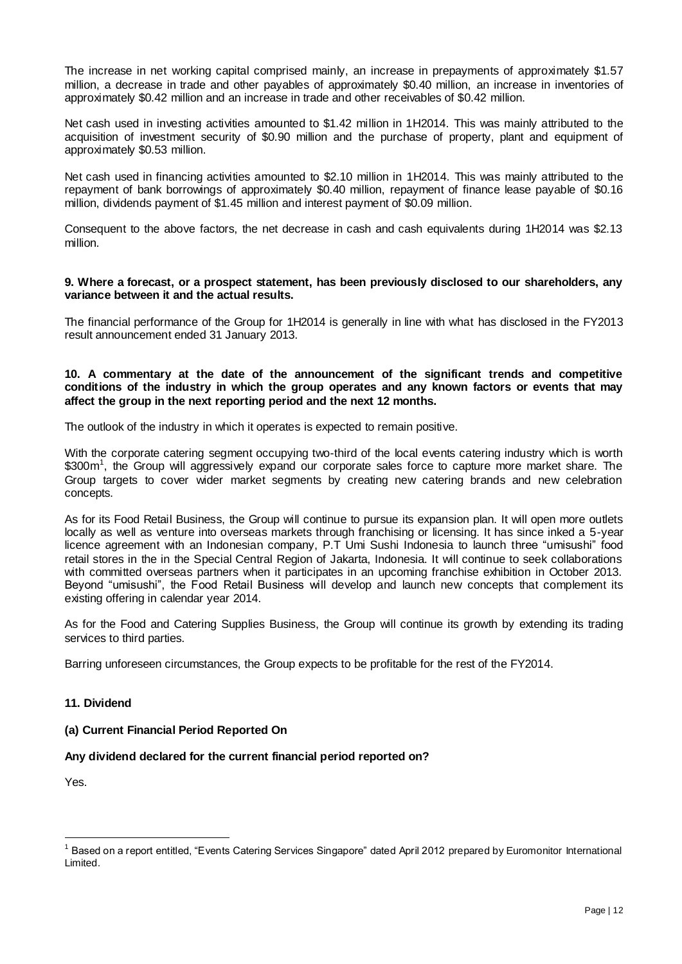The increase in net working capital comprised mainly, an increase in prepayments of approximately \$1.57 million, a decrease in trade and other payables of approximately \$0.40 million, an increase in inventories of approximately \$0.42 million and an increase in trade and other receivables of \$0.42 million.

Net cash used in investing activities amounted to \$1.42 million in 1H2014. This was mainly attributed to the acquisition of investment security of \$0.90 million and the purchase of property, plant and equipment of approximately \$0.53 million.

Net cash used in financing activities amounted to \$2.10 million in 1H2014. This was mainly attributed to the repayment of bank borrowings of approximately \$0.40 million, repayment of finance lease payable of \$0.16 million, dividends payment of \$1.45 million and interest payment of \$0.09 million.

Consequent to the above factors, the net decrease in cash and cash equivalents during 1H2014 was \$2.13 million.

## **9. Where a forecast, or a prospect statement, has been previously disclosed to our shareholders, any variance between it and the actual results.**

The financial performance of the Group for 1H2014 is generally in line with what has disclosed in the FY2013 result announcement ended 31 January 2013.

## **10. A commentary at the date of the announcement of the significant trends and competitive conditions of the industry in which the group operates and any known factors or events that may affect the group in the next reporting period and the next 12 months.**

The outlook of the industry in which it operates is expected to remain positive.

With the corporate catering segment occupying two-third of the local events catering industry which is worth \$300m<sup>1</sup>, the Group will aggressively expand our corporate sales force to capture more market share. The Group targets to cover wider market segments by creating new catering brands and new celebration concepts.

As for its Food Retail Business, the Group will continue to pursue its expansion plan. It will open more outlets locally as well as venture into overseas markets through franchising or licensing. It has since inked a 5-year licence agreement with an Indonesian company, P.T Umi Sushi Indonesia to launch three "umisushi" food retail stores in the in the Special Central Region of Jakarta, Indonesia. It will continue to seek collaborations with committed overseas partners when it participates in an upcoming franchise exhibition in October 2013. Beyond "umisushi", the Food Retail Business will develop and launch new concepts that complement its existing offering in calendar year 2014.

As for the Food and Catering Supplies Business, the Group will continue its growth by extending its trading services to third parties.

Barring unforeseen circumstances, the Group expects to be profitable for the rest of the FY2014.

# **11. Dividend**

**(a) Current Financial Period Reported On**

# **Any dividend declared for the current financial period reported on?**

Yes.

 $\overline{a}$ 

<sup>1</sup> Based on a report entitled, "Events Catering Services Singapore" dated April 2012 prepared by Euromonitor International Limited.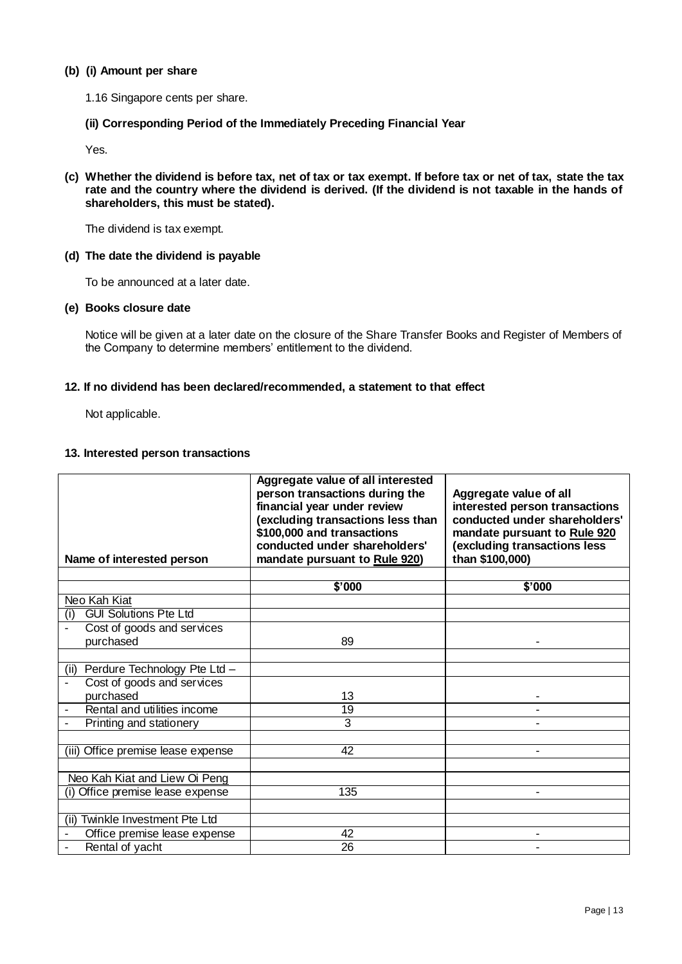## **(b) (i) Amount per share**

- 1.16 Singapore cents per share.
- **(ii) Corresponding Period of the Immediately Preceding Financial Year**

Yes.

**(c) Whether the dividend is before tax, net of tax or tax exempt. If before tax or net of tax, state the tax rate and the country where the dividend is derived. (If the dividend is not taxable in the hands of shareholders, this must be stated).**

The dividend is tax exempt.

## **(d) The date the dividend is payable**

To be announced at a later date.

## **(e) Books closure date**

Notice will be given at a later date on the closure of the Share Transfer Books and Register of Members of the Company to determine members' entitlement to the dividend.

## **12. If no dividend has been declared/recommended, a statement to that effect**

Not applicable.

## **13. Interested person transactions**

| Name of interested person           | Aggregate value of all interested<br>person transactions during the<br>financial year under review<br>(excluding transactions less than<br>\$100,000 and transactions<br>conducted under shareholders'<br>mandate pursuant to Rule 920) | Aggregate value of all<br>interested person transactions<br>conducted under shareholders'<br>mandate pursuant to Rule 920<br>(excluding transactions less<br>than \$100,000) |
|-------------------------------------|-----------------------------------------------------------------------------------------------------------------------------------------------------------------------------------------------------------------------------------------|------------------------------------------------------------------------------------------------------------------------------------------------------------------------------|
|                                     |                                                                                                                                                                                                                                         |                                                                                                                                                                              |
|                                     | \$'000                                                                                                                                                                                                                                  | \$'000                                                                                                                                                                       |
| Neo Kah Kiat                        |                                                                                                                                                                                                                                         |                                                                                                                                                                              |
| <b>GUI Solutions Pte Ltd</b><br>(i) |                                                                                                                                                                                                                                         |                                                                                                                                                                              |
| Cost of goods and services          |                                                                                                                                                                                                                                         |                                                                                                                                                                              |
| purchased                           | 89                                                                                                                                                                                                                                      |                                                                                                                                                                              |
|                                     |                                                                                                                                                                                                                                         |                                                                                                                                                                              |
| (ii) Perdure Technology Pte Ltd -   |                                                                                                                                                                                                                                         |                                                                                                                                                                              |
| Cost of goods and services          |                                                                                                                                                                                                                                         |                                                                                                                                                                              |
| purchased                           | 13                                                                                                                                                                                                                                      |                                                                                                                                                                              |
| Rental and utilities income         | 19                                                                                                                                                                                                                                      |                                                                                                                                                                              |
| Printing and stationery             | 3                                                                                                                                                                                                                                       |                                                                                                                                                                              |
|                                     |                                                                                                                                                                                                                                         |                                                                                                                                                                              |
| (iii) Office premise lease expense  | 42                                                                                                                                                                                                                                      |                                                                                                                                                                              |
|                                     |                                                                                                                                                                                                                                         |                                                                                                                                                                              |
| Neo Kah Kiat and Liew Oi Peng       |                                                                                                                                                                                                                                         |                                                                                                                                                                              |
| Office premise lease expense<br>(i) | 135                                                                                                                                                                                                                                     |                                                                                                                                                                              |
|                                     |                                                                                                                                                                                                                                         |                                                                                                                                                                              |
| Twinkle Investment Pte Ltd<br>(iii) |                                                                                                                                                                                                                                         |                                                                                                                                                                              |
| Office premise lease expense        | 42                                                                                                                                                                                                                                      |                                                                                                                                                                              |
| Rental of yacht                     | 26                                                                                                                                                                                                                                      |                                                                                                                                                                              |